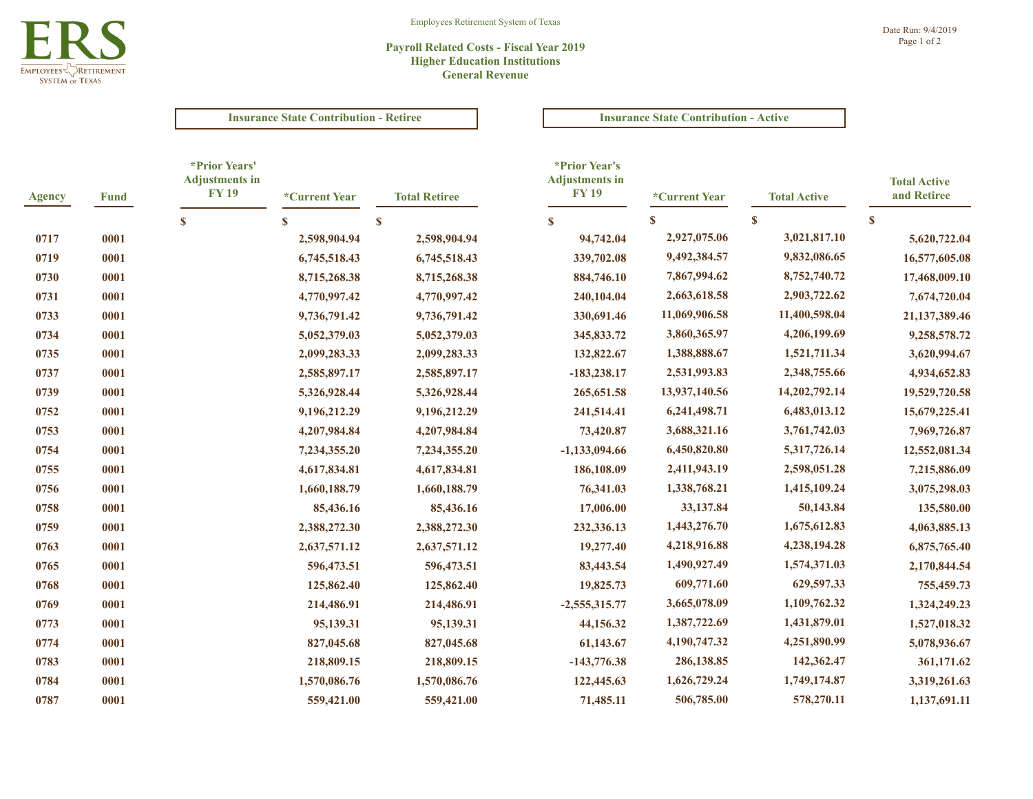

# **Payroll Related Costs - Fiscal Year 2019 Higher Education Institutions General Revenue**

# **Insurance State Contribution - Retiree Insurance State Contribution - Active**

| <b>Agency</b> | <b>Fund</b> | <i>*Prior Years'</i><br><b>Adjustments in</b><br><b>FY 19</b> | *Current Year | <b>Total Retiree</b> | *Prior Year's<br><b>Adjustments in</b><br><b>FY19</b> | *Current Year | <b>Total Active</b> | <b>Total Active</b><br>and Retiree |
|---------------|-------------|---------------------------------------------------------------|---------------|----------------------|-------------------------------------------------------|---------------|---------------------|------------------------------------|
|               |             | $\mathbf{s}$                                                  | S             | $\mathbf{s}$         | $\mathbf{s}$                                          | $\mathbf{s}$  | $\mathbf S$         | $\mathbf S$                        |
| 0717          | 0001        |                                                               | 2,598,904.94  | 2,598,904.94         | 94,742.04                                             | 2,927,075.06  | 3,021,817.10        | 5,620,722.04                       |
| 0719          | 0001        |                                                               | 6,745,518.43  | 6,745,518.43         | 339,702.08                                            | 9,492,384.57  | 9,832,086.65        | 16,577,605.08                      |
| 0730          | 0001        |                                                               | 8,715,268.38  | 8,715,268.38         | 884,746.10                                            | 7,867,994.62  | 8,752,740.72        | 17,468,009.10                      |
| 0731          | 0001        |                                                               | 4,770,997.42  | 4,770,997.42         | 240,104.04                                            | 2,663,618.58  | 2,903,722.62        | 7,674,720.04                       |
| 0733          | 0001        |                                                               | 9,736,791.42  | 9,736,791.42         | 330,691.46                                            | 11,069,906.58 | 11,400,598.04       | 21,137,389.46                      |
| 0734          | 0001        |                                                               | 5,052,379.03  | 5,052,379.03         | 345,833.72                                            | 3,860,365.97  | 4,206,199.69        | 9,258,578.72                       |
| 0735          | 0001        |                                                               | 2,099,283.33  | 2,099,283.33         | 132,822.67                                            | 1,388,888.67  | 1,521,711.34        | 3,620,994.67                       |
| 0737          | 0001        |                                                               | 2,585,897.17  | 2,585,897.17         | $-183,238.17$                                         | 2,531,993.83  | 2,348,755.66        | 4,934,652.83                       |
| 0739          | 0001        |                                                               | 5,326,928.44  | 5,326,928.44         | 265, 651.58                                           | 13,937,140.56 | 14,202,792.14       | 19,529,720.58                      |
| 0752          | 0001        |                                                               | 9,196,212.29  | 9,196,212.29         | 241,514.41                                            | 6,241,498.71  | 6,483,013.12        | 15,679,225.41                      |
| 0753          | 0001        |                                                               | 4,207,984.84  | 4,207,984.84         | 73,420.87                                             | 3,688,321.16  | 3,761,742.03        | 7,969,726.87                       |
| 0754          | 0001        |                                                               | 7,234,355.20  | 7,234,355.20         | $-1,133,094.66$                                       | 6,450,820.80  | 5,317,726.14        | 12,552,081.34                      |
| 0755          | 0001        |                                                               | 4,617,834.81  | 4,617,834.81         | 186,108.09                                            | 2,411,943.19  | 2,598,051.28        | 7,215,886.09                       |
| 0756          | 0001        |                                                               | 1,660,188.79  | 1,660,188.79         | 76,341.03                                             | 1,338,768.21  | 1,415,109.24        | 3,075,298.03                       |
| 0758          | 0001        |                                                               | 85,436.16     | 85,436.16            | 17,006.00                                             | 33,137.84     | 50,143.84           | 135,580.00                         |
| 0759          | 0001        |                                                               | 2,388,272.30  | 2,388,272.30         | 232,336.13                                            | 1,443,276.70  | 1,675,612.83        | 4,063,885.13                       |
| 0763          | 0001        |                                                               | 2,637,571.12  | 2,637,571.12         | 19,277.40                                             | 4,218,916.88  | 4,238,194.28        | 6,875,765.40                       |
| 0765          | 0001        |                                                               | 596,473.51    | 596,473.51           | 83,443.54                                             | 1,490,927.49  | 1,574,371.03        | 2,170,844.54                       |
| 0768          | 0001        |                                                               | 125,862.40    | 125,862.40           | 19,825.73                                             | 609,771.60    | 629,597.33          | 755,459.73                         |
| 0769          | 0001        |                                                               | 214,486.91    | 214,486.91           | $-2,555,315.77$                                       | 3,665,078.09  | 1,109,762.32        | 1,324,249.23                       |
| 0773          | 0001        |                                                               | 95,139.31     | 95,139.31            | 44,156.32                                             | 1,387,722.69  | 1,431,879.01        | 1,527,018.32                       |
| 0774          | 0001        |                                                               | 827,045.68    | 827,045.68           | 61,143.67                                             | 4,190,747.32  | 4,251,890.99        | 5,078,936.67                       |
| 0783          | 0001        |                                                               | 218,809.15    | 218,809.15           | $-143,776.38$                                         | 286,138.85    | 142,362.47          | 361,171.62                         |
| 0784          | 0001        |                                                               | 1,570,086.76  | 1,570,086.76         | 122,445.63                                            | 1,626,729.24  | 1,749,174.87        | 3,319,261.63                       |
| 0787          | 0001        |                                                               | 559,421.00    | 559,421.00           | 71,485.11                                             | 506,785.00    | 578,270.11          | 1,137,691.11                       |